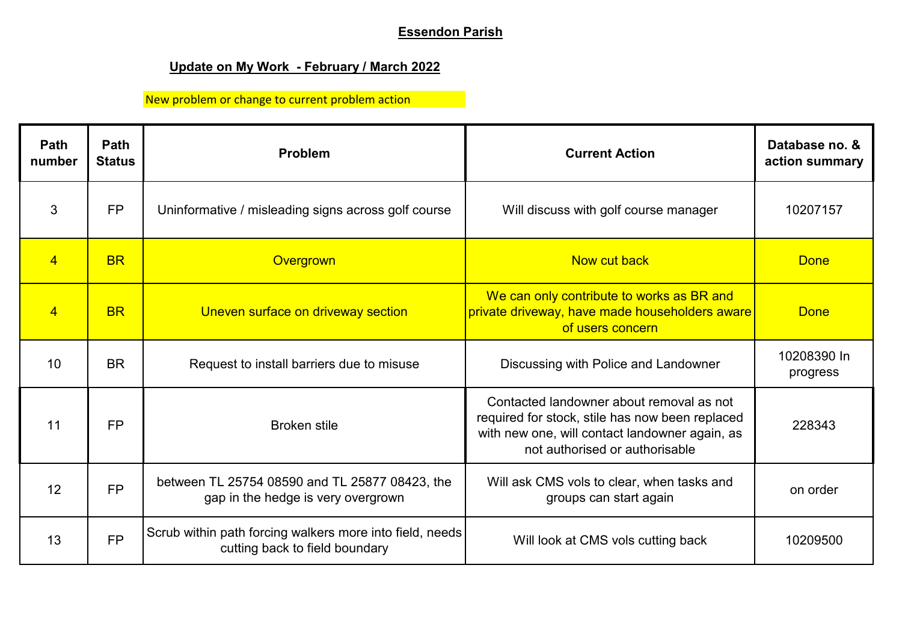## **Essendon Parish**

## **Update on My Work - February / March 2022**

New problem or change to current problem action

| Path<br>number  | <b>Path</b><br><b>Status</b> | Problem                                                                                    | <b>Current Action</b>                                                                                                                                                           | Database no. &<br>action summary |
|-----------------|------------------------------|--------------------------------------------------------------------------------------------|---------------------------------------------------------------------------------------------------------------------------------------------------------------------------------|----------------------------------|
| 3               | <b>FP</b>                    | Uninformative / misleading signs across golf course                                        | Will discuss with golf course manager                                                                                                                                           | 10207157                         |
| $\overline{4}$  | <b>BR</b>                    | Overgrown                                                                                  | Now cut back                                                                                                                                                                    | <b>Done</b>                      |
| $\overline{4}$  | <b>BR</b>                    | Uneven surface on driveway section                                                         | We can only contribute to works as BR and<br>private driveway, have made householders aware<br>of users concern                                                                 | <b>Done</b>                      |
| 10 <sup>1</sup> | <b>BR</b>                    | Request to install barriers due to misuse                                                  | Discussing with Police and Landowner                                                                                                                                            | 10208390 In<br>progress          |
| 11              | <b>FP</b>                    | <b>Broken stile</b>                                                                        | Contacted landowner about removal as not<br>required for stock, stile has now been replaced<br>with new one, will contact landowner again, as<br>not authorised or authorisable | 228343                           |
| 12              | <b>FP</b>                    | between TL 25754 08590 and TL 25877 08423, the<br>gap in the hedge is very overgrown       | Will ask CMS vols to clear, when tasks and<br>groups can start again                                                                                                            | on order                         |
| 13              | <b>FP</b>                    | Scrub within path forcing walkers more into field, needs<br>cutting back to field boundary | Will look at CMS vols cutting back                                                                                                                                              | 10209500                         |